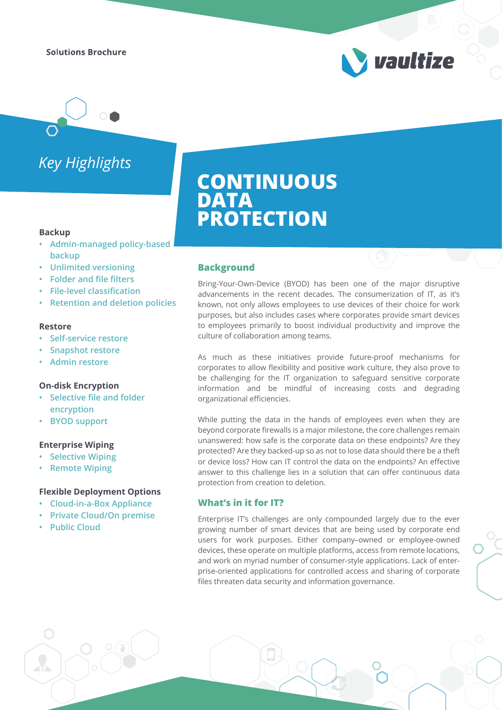**Solutions Brochure** 

# *Key Highlights*

#### **Backup**

- **Admin-managed policy-based backup**
- **Unlimited versioning**
- **Folder and file filters**
- **File-level classification**
- **Retention and deletion policies**

#### **Restore**

- **Self-service restore**
- **Snapshot restore**
- **Admin restore**

#### **On-disk Encryption**

- **Selective file and folder encryption**
- **BYOD support**

#### **Enterprise Wiping**

- **Selective Wiping**
- **Remote Wiping**

#### **Flexible Deployment Options**

- **Cloud-in-a-Box Appliance**
- **Private Cloud/On premise**
- **Public Cloud**

# **CONTINUOUS DATA PROTECTION**

#### **Background**

Bring-Your-Own-Device (BYOD) has been one of the major disruptive advancements in the recent decades. The consumerization of IT, as it's known, not only allows employees to use devices of their choice for work purposes, but also includes cases where corporates provide smart devices to employees primarily to boost individual productivity and improve the culture of collaboration among teams.

vaultize

As much as these initiatives provide future-proof mechanisms for corporates to allow flexibility and positive work culture, they also prove to be challenging for the IT organization to safeguard sensitive corporate information and be mindful of increasing costs and degrading organizational efficiencies.

While putting the data in the hands of employees even when they are beyond corporate firewalls is a major milestone, the core challenges remain unanswered: how safe is the corporate data on these endpoints? Are they protected? Are they backed-up so as not to lose data should there be a theft or device loss? How can IT control the data on the endpoints? An effective answer to this challenge lies in a solution that can offer continuous data protection from creation to deletion.

#### **What's in it for IT?**

Enterprise IT's challenges are only compounded largely due to the ever growing number of smart devices that are being used by corporate end users for work purposes. Either company–owned or employee-owned devices, these operate on multiple platforms, access from remote locations, and work on myriad number of consumer-style applications. Lack of enterprise-oriented applications for controlled access and sharing of corporate files threaten data security and information governance.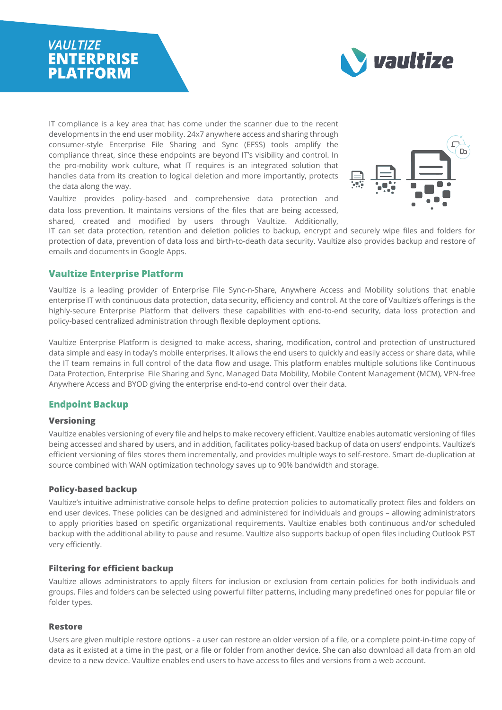### **VAULTIZE ENTERPRISE PLATFORM**



IT compliance is a key area that has come under the scanner due to the recent developments in the end user mobility. 24x7 anywhere access and sharing through consumer-style Enterprise File Sharing and Sync (EFSS) tools amplify the compliance threat, since these endpoints are beyond IT's visibility and control. In the pro-mobility work culture, what IT requires is an integrated solution that handles data from its creation to logical deletion and more importantly, protects the data along the way.

Vaultize provides policy-based and comprehensive data protection and data loss prevention. It maintains versions of the files that are being accessed, shared, created and modified by users through Vaultize. Additionally,



IT can set data protection, retention and deletion policies to backup, encrypt and securely wipe files and folders for protection of data, prevention of data loss and birth-to-death data security. Vaultize also provides backup and restore of emails and documents in Google Apps.

#### **Vaultize Enterprise Platform**

Vaultize is a leading provider of Enterprise File Sync-n-Share, Anywhere Access and Mobility solutions that enable enterprise IT with continuous data protection, data security, efficiency and control. At the core of Vaultize's offerings is the highly-secure Enterprise Platform that delivers these capabilities with end-to-end security, data loss protection and policy-based centralized administration through flexible deployment options.

Vaultize Enterprise Platform is designed to make access, sharing, modification, control and protection of unstructured data simple and easy in today's mobile enterprises. It allows the end users to quickly and easily access or share data, while the IT team remains in full control of the data flow and usage. This platform enables multiple solutions like Continuous Data Protection, Enterprise File Sharing and Sync, Managed Data Mobility, Mobile Content Management (MCM), VPN-free Anywhere Access and BYOD giving the enterprise end-to-end control over their data.

#### **Endpoint Backup**

#### **Versioning**

Vaultize enables versioning of every file and helps to make recovery efficient. Vaultize enables automatic versioning of files being accessed and shared by users, and in addition, facilitates policy-based backup of data on users' endpoints. Vaultize's efficient versioning of files stores them incrementally, and provides multiple ways to self-restore. Smart de-duplication at source combined with WAN optimization technology saves up to 90% bandwidth and storage.

#### **Policy-based backup**

Vaultize's intuitive administrative console helps to define protection policies to automatically protect files and folders on end user devices. These policies can be designed and administered for individuals and groups – allowing administrators to apply priorities based on specific organizational requirements. Vaultize enables both continuous and/or scheduled backup with the additional ability to pause and resume. Vaultize also supports backup of open files including Outlook PST very efficiently.

#### **Filtering for efficient backup**

Vaultize allows administrators to apply filters for inclusion or exclusion from certain policies for both individuals and groups. Files and folders can be selected using powerful filter patterns, including many predefined ones for popular file or folder types.

#### **Restore**

Users are given multiple restore options - a user can restore an older version of a file, or a complete point-in-time copy of data as it existed at a time in the past, or a file or folder from another device. She can also download all data from an old device to a new device. Vaultize enables end users to have access to files and versions from a web account.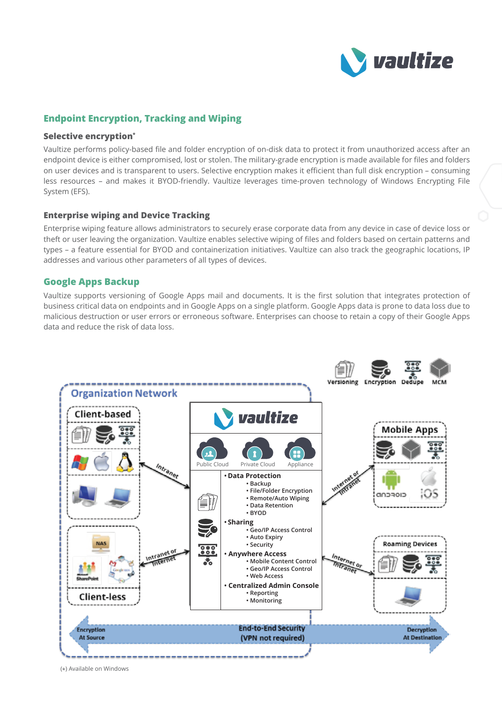

#### **Endpoint Encryption, Tracking and Wiping**

#### **Selective encryption\***

Vaultize performs policy-based file and folder encryption of on-disk data to protect it from unauthorized access after an endpoint device is either compromised, lost or stolen. The military-grade encryption is made available for files and folders on user devices and is transparent to users. Selective encryption makes it efficient than full disk encryption – consuming less resources – and makes it BYOD-friendly. Vaultize leverages time-proven technology of Windows Encrypting File System (EFS).

#### **Enterprise wiping and Device Tracking**

Enterprise wiping feature allows administrators to securely erase corporate data from any device in case of device loss or theft or user leaving the organization. Vaultize enables selective wiping of files and folders based on certain patterns and types – a feature essential for BYOD and containerization initiatives. Vaultize can also track the geographic locations, IP addresses and various other parameters of all types of devices.

#### **Google Apps Backup**

Vaultize supports versioning of Google Apps mail and documents. It is the first solution that integrates protection of business critical data on endpoints and in Google Apps on a single platform. Google Apps data is prone to data loss due to malicious destruction or user errors or erroneous software. Enterprises can choose to retain a copy of their Google Apps data and reduce the risk of data loss.



(\*) Available on Windows